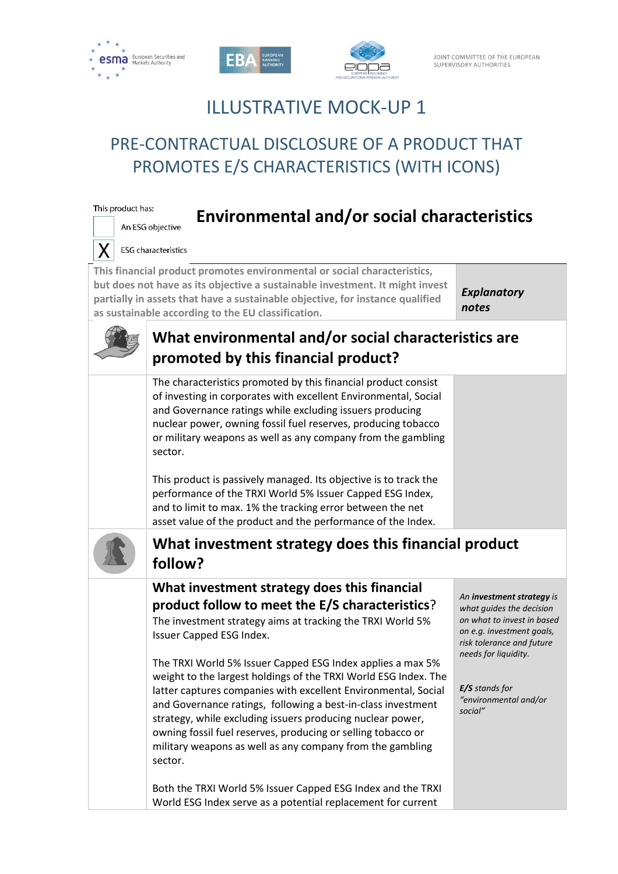

This product has:





**Environmental and/or social characteristics** 

# ILLUSTRATIVE MOCK-UP 1

# PRE-CONTRACTUAL DISCLOSURE OF A PRODUCT THAT PROMOTES E/S CHARACTERISTICS (WITH ICONS)

| An ESG objective                                                                                                                                                                                                                                                                                                                          |                             |
|-------------------------------------------------------------------------------------------------------------------------------------------------------------------------------------------------------------------------------------------------------------------------------------------------------------------------------------------|-----------------------------|
| <b>ESG</b> characteristics                                                                                                                                                                                                                                                                                                                |                             |
| This financial product promotes environmental or social characteristics,<br>but does not have as its objective a sustainable investment. It might invest<br>partially in assets that have a sustainable objective, for instance qualified<br>as sustainable according to the EU classification.                                           | <b>Explanatory</b><br>notes |
| What environmental and/or social characteristics are<br>promoted by this financial product?                                                                                                                                                                                                                                               |                             |
| The characteristics promoted by this financial product consist<br>of investing in corporates with excellent Environmental, Social<br>and Governance ratings while excluding issuers producing<br>nuclear power, owning fossil fuel reserves, producing tobacco<br>or military weapons as well as any company from the gambling<br>sector. |                             |

This product is passively managed. Its objective is to track the performance of the TRXI World 5% Issuer Capped ESG Index, and to limit to max. 1% the tracking error between the net asset value of the product and the performance of the Index.



# **What investment strategy does this financial product follow?**

# **What investment strategy does this financial product follow to meet the E/S characteristics**?

The investment strategy aims at tracking the TRXI World 5% Issuer Capped ESG Index.

The TRXI World 5% Issuer Capped ESG Index applies a max 5% weight to the largest holdings of the TRXI World ESG Index. The latter captures companies with excellent Environmental, Social and Governance ratings, following a best-in-class investment strategy, while excluding issuers producing nuclear power, owning fossil fuel reserves, producing or selling tobacco or military weapons as well as any company from the gambling sector.

Both the TRXI World 5% Issuer Capped ESG Index and the TRXI World ESG Index serve as a potential replacement for current

*An investment strategy is what guides the decision on what to invest in based on e.g. investment goals, risk tolerance and future needs for liquidity.*

*E/S stands for "environmental and/or social"*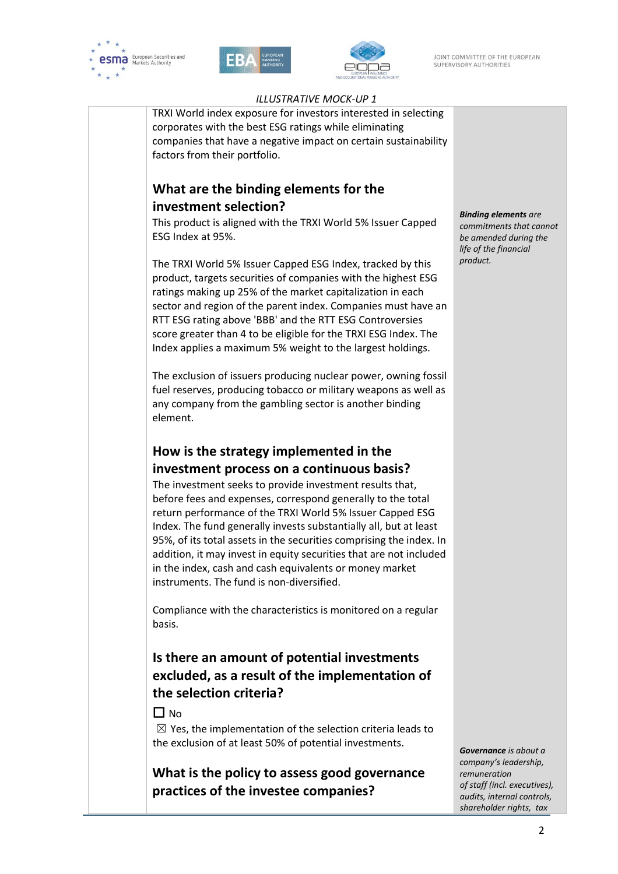





### *ILLUSTRATIVE MOCK-UP 1*

TRXI World index exposure for investors interested in selecting corporates with the best ESG ratings while eliminating companies that have a negative impact on certain sustainability factors from their portfolio.

## **What are the binding elements for the investment selection?**

This product is aligned with the TRXI World 5% Issuer Capped ESG Index at 95%.

The TRXI World 5% Issuer Capped ESG Index, tracked by this product, targets securities of companies with the highest ESG ratings making up 25% of the market capitalization in each sector and region of the parent index. Companies must have an RTT ESG rating above 'BBB' and the RTT ESG Controversies score greater than 4 to be eligible for the TRXI ESG Index. The Index applies a maximum 5% weight to the largest holdings.

The exclusion of issuers producing nuclear power, owning fossil fuel reserves, producing tobacco or military weapons as well as any company from the gambling sector is another binding element.

## **How is the strategy implemented in the investment process on a continuous basis?**

The investment seeks to provide investment results that, before fees and expenses, correspond generally to the total return performance of the TRXI World 5% Issuer Capped ESG Index. The fund generally invests substantially all, but at least 95%, of its total assets in the securities comprising the index. In addition, it may invest in equity securities that are not included in the index, cash and cash equivalents or money market instruments. The fund is non-diversified.

Compliance with the characteristics is monitored on a regular basis.

# **Is there an amount of potential investments excluded, as a result of the implementation of the selection criteria?**

### $\Box$  No.

 $\boxtimes$  Yes, the implementation of the selection criteria leads to the exclusion of at least 50% of potential investments.

**What is the policy to assess good governance practices of the investee companies?** 

*Binding elements are commitments that cannot be amended during the life of the financial product.*

*Governance is about a company's leadership, remuneration of staff (incl. executives), [audits,](https://www.investopedia.com/terms/a/audit.asp) [internal controls,](https://www.investopedia.com/terms/i/internalcontrols.asp)  shareholder rights, tax*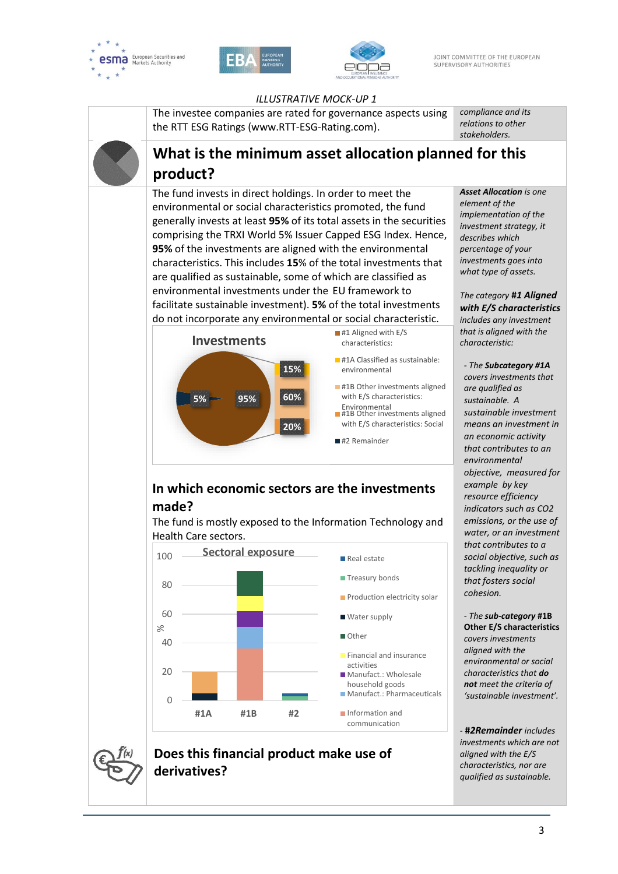





#### *ILLUSTRATIVE MOCK-UP 1*

The investee companies are rated for governance aspects using the RTT ESG Ratings (www.RTT-ESG-Rating.com).

*compliance and its relations to other stakeholders.*

# **What is the minimum asset allocation planned for this product?**

The fund invests in direct holdings. In order to meet the environmental or social characteristics promoted, the fund generally invests at least **95%** of its total assets in the securities comprising the TRXI World 5% Issuer Capped ESG Index. Hence, **95%** of the investments are aligned with the environmental characteristics. This includes **15**% of the total investments that are qualified as sustainable, some of which are classified as environmental investments under the EU framework to facilitate sustainable investment). **5%** of the total investments do not incorporate any environmental or social characteristic.



# **In which economic sectors are the investments made?**

The fund is mostly exposed to the Information Technology and Health Care sectors.



# **Does this financial product make use of derivatives?**

*Asset Allocation is one element of the implementation of the investment strategy, it describes which percentage of your investments goes into what type of assets.*

*The category* **#***1 Aligned with E/S characteristics includes any investment that is aligned with the characteristic:*

*- The Subcategory #1A covers investments that are qualified as sustainable. A sustainable investment means an investment in an economic activity that contributes to an environmental objective, measured for example by key resource efficiency indicators such as CO2 emissions, or the use of water, or an investment that contributes to a social objective, such as tackling inequality or that fosters social cohesion.*

*- The sub-category* **#1B Other E/S characteristics** *covers investments aligned with the environmental or social characteristics that do not meet the criteria of 'sustainable investment'.*

*-* **#***2Remainder includes investments which are not aligned with the E/S characteristics, nor are qualified as sustainable.*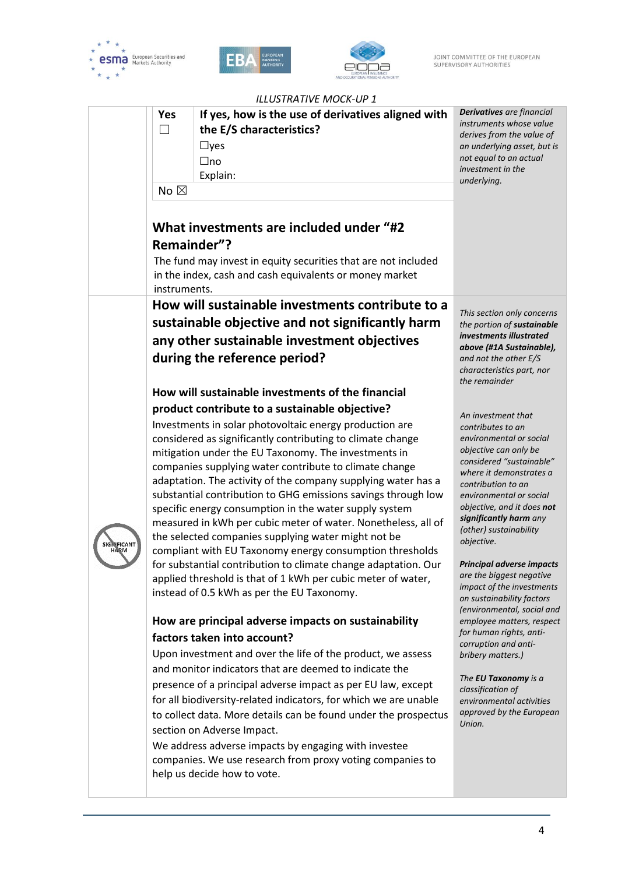





| <b>ILLUSTRATIVE MOCK-UP 1</b> |                             |                                                                                                                                                                                                                                                                                                                                                                                                                                                                                                                                                                                                                                                                                                                                                                                                                                                                                                                                                                                                                                                                                                                                                                                                                                                                                                                                                                                                                                                                   |                                                                                                                                                                                                                                                                                                                                                                                                                                                                                                                                                                                                                                                                          |  |  |
|-------------------------------|-----------------------------|-------------------------------------------------------------------------------------------------------------------------------------------------------------------------------------------------------------------------------------------------------------------------------------------------------------------------------------------------------------------------------------------------------------------------------------------------------------------------------------------------------------------------------------------------------------------------------------------------------------------------------------------------------------------------------------------------------------------------------------------------------------------------------------------------------------------------------------------------------------------------------------------------------------------------------------------------------------------------------------------------------------------------------------------------------------------------------------------------------------------------------------------------------------------------------------------------------------------------------------------------------------------------------------------------------------------------------------------------------------------------------------------------------------------------------------------------------------------|--------------------------------------------------------------------------------------------------------------------------------------------------------------------------------------------------------------------------------------------------------------------------------------------------------------------------------------------------------------------------------------------------------------------------------------------------------------------------------------------------------------------------------------------------------------------------------------------------------------------------------------------------------------------------|--|--|
|                               | Yes<br>П                    | If yes, how is the use of derivatives aligned with<br>the E/S characteristics?<br>$\Box$ yes<br>$\Box$ no<br>Explain:                                                                                                                                                                                                                                                                                                                                                                                                                                                                                                                                                                                                                                                                                                                                                                                                                                                                                                                                                                                                                                                                                                                                                                                                                                                                                                                                             | Derivatives are financial<br>instruments whose value<br>derives from the value of<br>an underlying asset, but is<br>not equal to an actual<br>investment in the<br>underlying.                                                                                                                                                                                                                                                                                                                                                                                                                                                                                           |  |  |
|                               | No $\boxtimes$              |                                                                                                                                                                                                                                                                                                                                                                                                                                                                                                                                                                                                                                                                                                                                                                                                                                                                                                                                                                                                                                                                                                                                                                                                                                                                                                                                                                                                                                                                   |                                                                                                                                                                                                                                                                                                                                                                                                                                                                                                                                                                                                                                                                          |  |  |
|                               | Remainder"?<br>instruments. | What investments are included under "#2<br>The fund may invest in equity securities that are not included<br>in the index, cash and cash equivalents or money market                                                                                                                                                                                                                                                                                                                                                                                                                                                                                                                                                                                                                                                                                                                                                                                                                                                                                                                                                                                                                                                                                                                                                                                                                                                                                              |                                                                                                                                                                                                                                                                                                                                                                                                                                                                                                                                                                                                                                                                          |  |  |
|                               |                             | How will sustainable investments contribute to a<br>sustainable objective and not significantly harm<br>any other sustainable investment objectives<br>during the reference period?<br>How will sustainable investments of the financial                                                                                                                                                                                                                                                                                                                                                                                                                                                                                                                                                                                                                                                                                                                                                                                                                                                                                                                                                                                                                                                                                                                                                                                                                          | This section only concerns<br>the portion of sustainable<br>investments illustrated<br>above (#1A Sustainable),<br>and not the other E/S<br>characteristics part, nor<br>the remainder                                                                                                                                                                                                                                                                                                                                                                                                                                                                                   |  |  |
| <b>SIGNIFICANT</b>            |                             | product contribute to a sustainable objective?<br>Investments in solar photovoltaic energy production are<br>considered as significantly contributing to climate change<br>mitigation under the EU Taxonomy. The investments in<br>companies supplying water contribute to climate change<br>adaptation. The activity of the company supplying water has a<br>substantial contribution to GHG emissions savings through low<br>specific energy consumption in the water supply system<br>measured in kWh per cubic meter of water. Nonetheless, all of<br>the selected companies supplying water might not be<br>compliant with EU Taxonomy energy consumption thresholds<br>for substantial contribution to climate change adaptation. Our<br>applied threshold is that of 1 kWh per cubic meter of water,<br>instead of 0.5 kWh as per the EU Taxonomy.<br>How are principal adverse impacts on sustainability<br>factors taken into account?<br>Upon investment and over the life of the product, we assess<br>and monitor indicators that are deemed to indicate the<br>presence of a principal adverse impact as per EU law, except<br>for all biodiversity-related indicators, for which we are unable<br>to collect data. More details can be found under the prospectus<br>section on Adverse Impact.<br>We address adverse impacts by engaging with investee<br>companies. We use research from proxy voting companies to<br>help us decide how to vote. | An investment that<br>contributes to an<br>environmental or social<br>objective can only be<br>considered "sustainable"<br>where it demonstrates a<br>contribution to an<br>environmental or social<br>objective, and it does not<br>significantly harm any<br>(other) sustainability<br>objective.<br>Principal adverse impacts<br>are the biggest negative<br>impact of the investments<br>on sustainability factors<br>(environmental, social and<br>employee matters, respect<br>for human rights, anti-<br>corruption and anti-<br>bribery matters.)<br>The EU Taxonomy is a<br>classification of<br>environmental activities<br>approved by the European<br>Union. |  |  |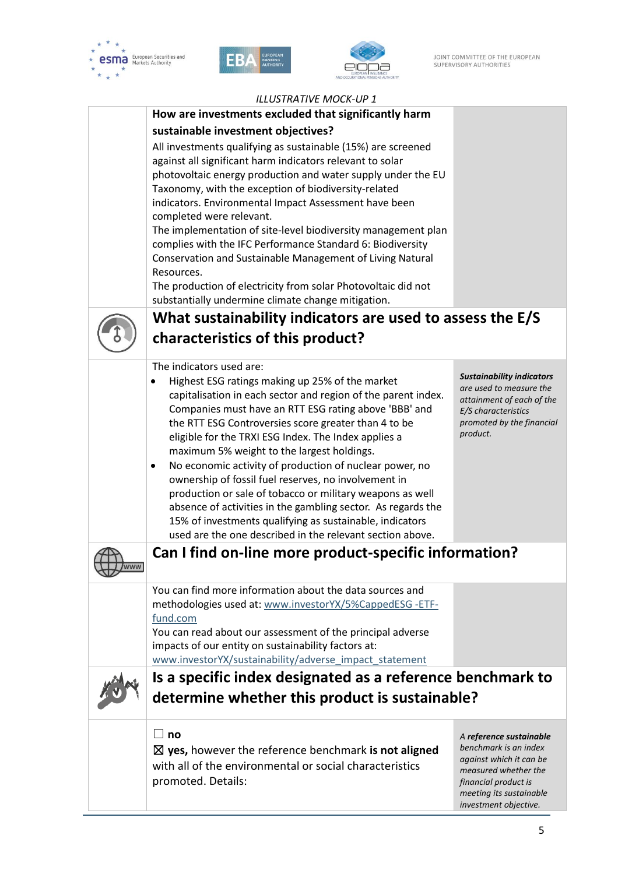

í.





## *ILLUSTRATIVE MOCK-UP 1*

| ILLUSTRATIVE MOCK-UP 1                                                                                                      |                                                             |  |  |
|-----------------------------------------------------------------------------------------------------------------------------|-------------------------------------------------------------|--|--|
| How are investments excluded that significantly harm                                                                        |                                                             |  |  |
| sustainable investment objectives?                                                                                          |                                                             |  |  |
| All investments qualifying as sustainable (15%) are screened<br>against all significant harm indicators relevant to solar   |                                                             |  |  |
| photovoltaic energy production and water supply under the EU<br>Taxonomy, with the exception of biodiversity-related        |                                                             |  |  |
| indicators. Environmental Impact Assessment have been                                                                       |                                                             |  |  |
| completed were relevant.                                                                                                    |                                                             |  |  |
| The implementation of site-level biodiversity management plan<br>complies with the IFC Performance Standard 6: Biodiversity |                                                             |  |  |
| Conservation and Sustainable Management of Living Natural                                                                   |                                                             |  |  |
| Resources.                                                                                                                  |                                                             |  |  |
| The production of electricity from solar Photovoltaic did not<br>substantially undermine climate change mitigation.         |                                                             |  |  |
| What sustainability indicators are used to assess the E/S                                                                   |                                                             |  |  |
| characteristics of this product?                                                                                            |                                                             |  |  |
| The indicators used are:                                                                                                    |                                                             |  |  |
| Highest ESG ratings making up 25% of the market                                                                             | <b>Sustainability indicators</b><br>are used to measure the |  |  |
| capitalisation in each sector and region of the parent index.                                                               | attainment of each of the                                   |  |  |
| Companies must have an RTT ESG rating above 'BBB' and<br>the RTT ESG Controversies score greater than 4 to be               | E/S characteristics<br>promoted by the financial            |  |  |
| eligible for the TRXI ESG Index. The Index applies a                                                                        | product.                                                    |  |  |
| maximum 5% weight to the largest holdings.                                                                                  |                                                             |  |  |
| No economic activity of production of nuclear power, no<br>٠<br>ownership of fossil fuel reserves, no involvement in        |                                                             |  |  |
| production or sale of tobacco or military weapons as well                                                                   |                                                             |  |  |
| absence of activities in the gambling sector. As regards the                                                                |                                                             |  |  |
| 15% of investments qualifying as sustainable, indicators<br>used are the one described in the relevant section above.       |                                                             |  |  |
| Can I find on-line more product-specific information?                                                                       |                                                             |  |  |
|                                                                                                                             |                                                             |  |  |
| You can find more information about the data sources and<br>methodologies used at: www.investorYX/5%CappedESG-ETF-          |                                                             |  |  |
| fund.com                                                                                                                    |                                                             |  |  |
| You can read about our assessment of the principal adverse                                                                  |                                                             |  |  |
| impacts of our entity on sustainability factors at:                                                                         |                                                             |  |  |
| www.investorYX/sustainability/adverse_impact_statement<br>Is a specific index designated as a reference benchmark to        |                                                             |  |  |
|                                                                                                                             |                                                             |  |  |
| determine whether this product is sustainable?                                                                              |                                                             |  |  |
| $\Box$<br>no                                                                                                                | A reference sustainable                                     |  |  |
| $\boxtimes$ yes, however the reference benchmark is not aligned                                                             | benchmark is an index<br>against which it can be            |  |  |
| with all of the environmental or social characteristics                                                                     | measured whether the                                        |  |  |
| promoted. Details:                                                                                                          | financial product is<br>meeting its sustainable             |  |  |
|                                                                                                                             | investment objective.                                       |  |  |